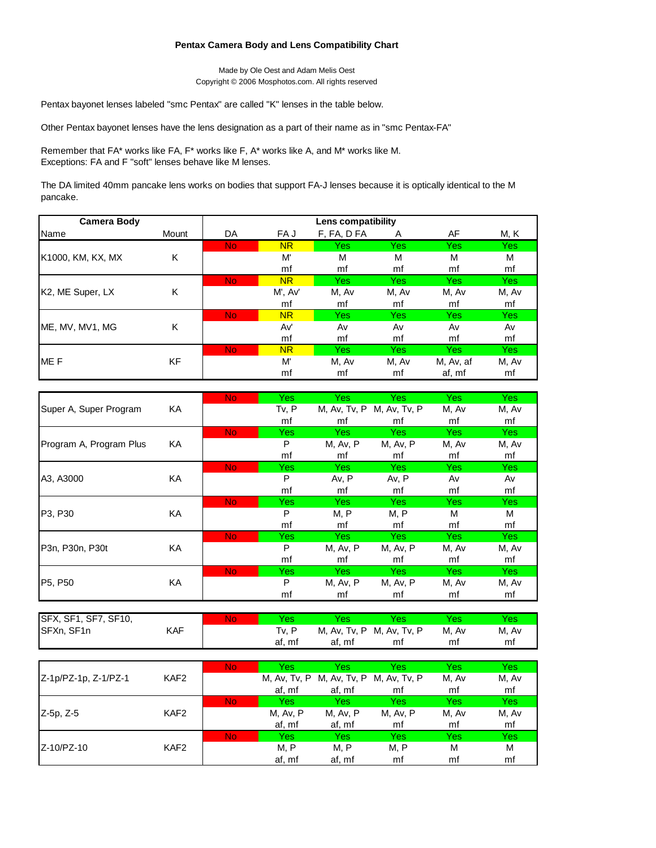## **Pentax Camera Body and Lens Compatibility Chart**

Made by Ole Oest and Adam Melis Oest Copyright © 2006 Mosphotos.com. All rights reserved

Pentax bayonet lenses labeled "smc Pentax" are called "K" lenses in the table below.

Other Pentax bayonet lenses have the lens designation as a part of their name as in "smc Pentax-FA"

Remember that FA\* works like FA, F\* works like F, A\* works like A, and M\* works like M. Exceptions: FA and F "soft" lenses behave like M lenses.

The DA limited 40mm pancake lens works on bodies that support FA-J lenses because it is optically identical to the M pancake.

| <b>Camera Body</b> |       | Lens compatibility |           |             |       |           |            |  |
|--------------------|-------|--------------------|-----------|-------------|-------|-----------|------------|--|
| Name               | Mount | DA                 | FA J      | F, FA, D FA | Α     | AF        | M, K       |  |
|                    |       | <b>No</b>          | <b>NR</b> | Yes         | Yes   | Yes       | <b>Yes</b> |  |
| K1000, KM, KX, MX  | K     |                    | M'        | M           | м     | M         | M          |  |
|                    |       |                    | mf        | mf          | mf    | mf        | mf         |  |
|                    |       | <b>No</b>          | <b>NR</b> | Yes         | Yes   | Yes       | Yes:       |  |
| K2, ME Super, LX   | K     |                    | M', Av'   | M, Av       | M, Av | M, Av     | M, Av      |  |
|                    |       |                    | mf        | mf          | mf    | mf        | mf         |  |
|                    |       | <b>No</b>          | <b>NR</b> | Yes         | Yes   | Yes:      | Yes:       |  |
| ME, MV, MV1, MG    | K     |                    | Av'       | Av          | Av    | Av        | Av         |  |
|                    |       |                    | mf        | mf          | mf    | mf        | mf         |  |
|                    |       | <b>No</b>          | <b>NR</b> | Yes         | Yes   | Yes:      | Yes:       |  |
| ME <sub>F</sub>    | KF    |                    | M         | M, Av       | M, Av | M, Av, af | M, Av      |  |
|                    |       |                    | mf        | mf          | mf    | af, mf    | mf         |  |

|                         |    | N <sub>o</sub> | <b>Yes</b> | <b>Yes</b> | <b>Yes</b>                | Yes:       | Yes   |
|-------------------------|----|----------------|------------|------------|---------------------------|------------|-------|
| Super A, Super Program  | KA |                | Tv, P      |            | M, Av, Tv, P M, Av, Tv, P | M, Av      | M, Av |
|                         |    |                | mf         | mf         | mf                        | mf         | mf    |
|                         |    | No.            | Yes:       | Yes:       | <b>Yes</b>                | Yes        | Yes:  |
| Program A, Program Plus | KA |                | P          | M, Av, P   | M, Av, P                  | M, Av      | M, Av |
|                         |    |                | mf         | mf         | mf                        | mf         | mf    |
|                         |    | <b>No</b>      | Yes:       | Yes        | Yes                       | Yes:       | Yes   |
| A3, A3000               | KA |                | P          | Av, P      | Av, P                     | Av         | Av    |
|                         |    |                | mf         | mf         | mf                        | mf         | mf    |
|                         |    | <b>No</b>      | <b>Yes</b> | <b>Yes</b> | <b>Yes</b>                | <b>Yes</b> | Yes   |
| P3, P30                 | KA |                | P          | M, P       | M, P                      | M          | м     |
|                         |    |                | mf         | mf         | mf                        | mf         | mf    |
|                         |    | <b>No</b>      | Yes        | Yes:       | <b>Yes</b>                | Yes:       | Yes:  |
| P3n, P30n, P30t         | KA |                | P          | M, Av, P   | M, Av, P                  | M, Av      | M, Av |
|                         |    |                | mf         | mf         | mf                        | mf         | mf    |
|                         |    | <b>No</b>      | Yes        | <b>Yes</b> | <b>Yes</b>                | Yes:       | Yes:  |
| P5, P50                 | KA |                | P          | M, Av, P   | M, Av, P                  | M, Av      | M, Av |
|                         |    |                | mf         | mf         | mf                        | mf         | mf    |

| SFX, SF1, SF7, SF10, |            | No |        | Yes         | res                       | res   | Yes   |
|----------------------|------------|----|--------|-------------|---------------------------|-------|-------|
| SFXn, SF1n           | <b>KAF</b> |    | Tv. P  |             | M, Av, Tv, P M, Av, Tv, P | M, Av | M, Av |
|                      |            |    | af, mf | . mf<br>af, | mi                        | mf    | mt    |

|                      |                  | <b>No</b> | Yes          | Yes          | Yes          | Yes   | Yes   |
|----------------------|------------------|-----------|--------------|--------------|--------------|-------|-------|
| Z-1p/PZ-1p, Z-1/PZ-1 | KAF <sub>2</sub> |           | M, Av, Tv, P | M, Av, Tv, P | M, Av, Tv, P | M, Av | M, Av |
|                      |                  |           | af, mf       | af, mf       | mf           | mf    | mf    |
|                      |                  | <b>No</b> | Yes          | Yes          | Yes          | Yes   | Yes   |
| Z-5p, Z-5            | KAF <sub>2</sub> |           | M, Av, P     | M, Av, P     | M, Av, P     | M, Av | M, Av |
|                      |                  |           | af, mf       | af, mf       | mf           | mf    | mf    |
|                      |                  | <b>No</b> | Yes          | Yes          | Yes          | Yes   | Yes   |
| Z-10/PZ-10           | KAF <sub>2</sub> |           | M, P         | M, P         | M, P         | M     | M     |
|                      |                  |           | af, mf       | af, mf       | mf           | mf    | mf    |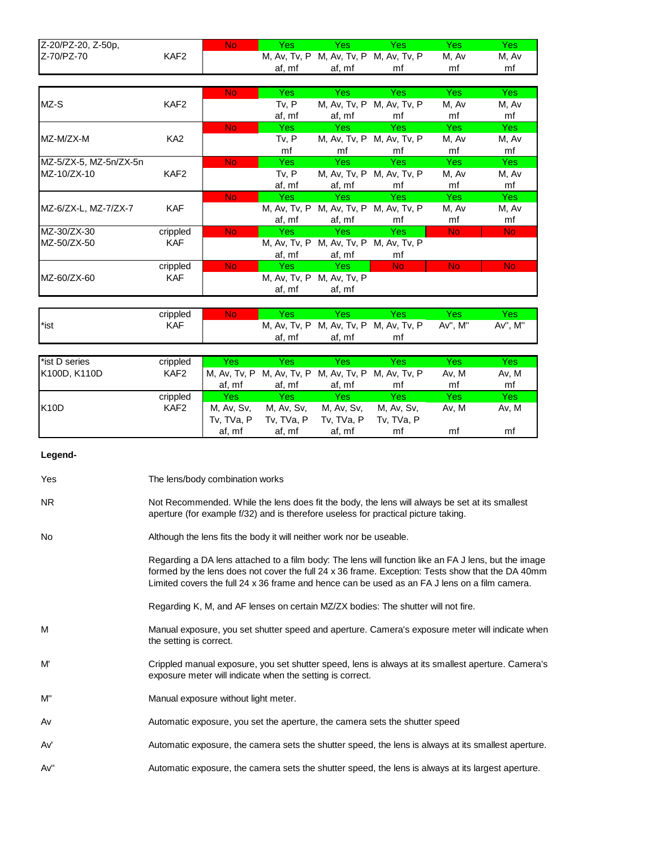| Z-20/PZ-20, Z-50p, |      | No |        | Yes       | 'es                                    |       |       |
|--------------------|------|----|--------|-----------|----------------------------------------|-------|-------|
| Z-70/PZ-70         | KAF2 |    |        |           | M, Av, Tv, P M, Av, Tv, P M, Av, Tv, P | M. Av | M, Av |
|                    |      |    | af, mf | mf<br>af. | m                                      | mi    | mi    |

|                        |                  | No.            | Yes:   | Yes:                                   | Yes:                      | Yes:           | Yes            |
|------------------------|------------------|----------------|--------|----------------------------------------|---------------------------|----------------|----------------|
| MZ-S                   | KAF2             |                | Tv, P  |                                        | M, Av, Tv, P M, Av, Tv, P | M, Av          | M, Av          |
|                        |                  |                | af, mf | af, mf                                 | mf                        | mf             | mf             |
|                        |                  | No.            | Yes:   | Yes.                                   | Yes:                      | Yes:           | Yes:           |
| MZ-M/ZX-M              | KA <sub>2</sub>  |                | Tv, P  |                                        | M, Av, Tv, P M, Av, Tv, P | M. Av          | M, Av          |
|                        |                  |                | mf     | mf                                     | mf                        | mf             | mf             |
| MZ-5/ZX-5, MZ-5n/ZX-5n |                  | No.            | Yes:   | Yes:                                   | Yes:                      | Yes:           | Yes:           |
| MZ-10/ZX-10            | KAF <sub>2</sub> |                | Tv, P  |                                        | M, Av, Tv, P M, Av, Tv, P | M. Av          | M, Av          |
|                        |                  |                | af, mf | af, mf                                 | mf                        | mf             | mf             |
|                        |                  | No.            | Yes:   | Yes                                    | Yes:                      | Yes:           | Yes:           |
| MZ-6/ZX-L, MZ-7/ZX-7   | <b>KAF</b>       |                |        | M, Av, Tv, P M, Av, Tv, P M, Av, Tv, P |                           | M, Av          | M, Av          |
|                        |                  |                | af, mf | af, mf                                 | mf                        | mf             | mf             |
| MZ-30/ZX-30            | crippled         | No.            | Yes:   | - Yes                                  | Yes:                      | No.            | <b>No</b>      |
| MZ-50/ZX-50            | <b>KAF</b>       |                |        | M, Av, Tv, P M, Av, Tv, P M, Av, Tv, P |                           |                |                |
|                        |                  |                | af, mf | af, mf                                 | mf                        |                |                |
|                        | crippled         | N <sub>o</sub> | Yes.   | Yes                                    | N <sub>o</sub>            | N <sub>o</sub> | N <sub>o</sub> |
| MZ-60/ZX-60            | <b>KAF</b>       |                |        | M, Av, Tv, P M, Av, Tv, P              |                           |                |                |
|                        |                  |                | af, mf | af, mf                                 |                           |                |                |

|                  | crippled   | No | <b>es</b>    | es     | Yes                       | 'es        |              |
|------------------|------------|----|--------------|--------|---------------------------|------------|--------------|
| <sup>*</sup> ist | <b>KAF</b> |    | M, Av, Tv, P |        | M, Av, Tv, P M, Av, Tv, P | M"<br>Av". | Av"<br>, M'' |
|                  |            |    | af, mf       | af, mf | mt                        |            |              |

| *ist D series | crippled         | Yes          | Yes          | Yes          | Yes          | Yes   | Yes   |
|---------------|------------------|--------------|--------------|--------------|--------------|-------|-------|
| K100D, K110D  | KAF <sub>2</sub> | M. Av. Tv. P | M, Av, Tv, P | M, Av, Tv, P | M. Av. Tv. P | Av. M | Av, M |
|               |                  | af. mf       | af, mf       | af. mf       | mf           | mf    | mf    |
|               | crippled         | <b>Yes</b>   | Yes.         | Yes          | Yes          | Yes   | Yes   |
| <b>K10D</b>   | KAF <sub>2</sub> | M, Av, Sv,   | M, Av, Sv,   | M, Av, Sv,   | M. Av. Sv.   | Av. M | Av, M |
|               |                  | Tv. TVa. P   | Tv. TVa. P   | Tv, TVa, P   | Tv. TVa. P   |       |       |
|               |                  | af, mf       | af. mf       | af, mf       | mf           | mf    | mf    |

## **Legend-**

| Yes | The lens/body combination works                                                                                                                                                                                                                                                                           |
|-----|-----------------------------------------------------------------------------------------------------------------------------------------------------------------------------------------------------------------------------------------------------------------------------------------------------------|
| NR. | Not Recommended. While the lens does fit the body, the lens will always be set at its smallest<br>aperture (for example f/32) and is therefore useless for practical picture taking.                                                                                                                      |
| No  | Although the lens fits the body it will neither work nor be useable.                                                                                                                                                                                                                                      |
|     | Regarding a DA lens attached to a film body: The lens will function like an FA J lens, but the image<br>formed by the lens does not cover the full 24 x 36 frame. Exception: Tests show that the DA 40mm<br>Limited covers the full 24 x 36 frame and hence can be used as an FA J lens on a film camera. |
|     | Regarding K, M, and AF lenses on certain MZ/ZX bodies: The shutter will not fire.                                                                                                                                                                                                                         |
| м   | Manual exposure, you set shutter speed and aperture. Camera's exposure meter will indicate when<br>the setting is correct.                                                                                                                                                                                |
| M   | Crippled manual exposure, you set shutter speed, lens is always at its smallest aperture. Camera's<br>exposure meter will indicate when the setting is correct.                                                                                                                                           |
| M"  | Manual exposure without light meter.                                                                                                                                                                                                                                                                      |
| Av  | Automatic exposure, you set the aperture, the camera sets the shutter speed                                                                                                                                                                                                                               |
| Av' | Automatic exposure, the camera sets the shutter speed, the lens is always at its smallest aperture.                                                                                                                                                                                                       |
| Av" | Automatic exposure, the camera sets the shutter speed, the lens is always at its largest aperture.                                                                                                                                                                                                        |